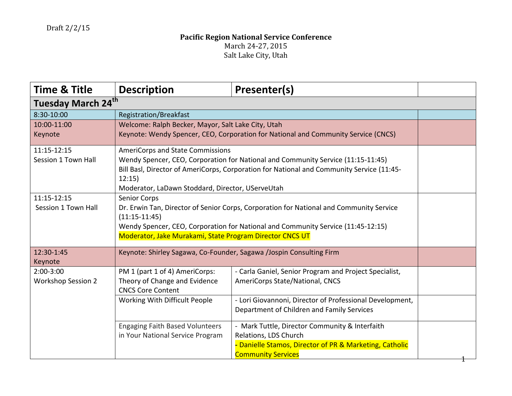| <b>Time &amp; Title</b>        | <b>Description</b>                                                                      | Presenter(s)                                                                              |  |  |
|--------------------------------|-----------------------------------------------------------------------------------------|-------------------------------------------------------------------------------------------|--|--|
| Tuesday March 24 <sup>th</sup> |                                                                                         |                                                                                           |  |  |
| 8:30-10:00                     | Registration/Breakfast                                                                  |                                                                                           |  |  |
| 10:00-11:00                    | Welcome: Ralph Becker, Mayor, Salt Lake City, Utah                                      |                                                                                           |  |  |
| Keynote                        | Keynote: Wendy Spencer, CEO, Corporation for National and Community Service (CNCS)      |                                                                                           |  |  |
| 11:15-12:15                    | <b>AmeriCorps and State Commissions</b>                                                 |                                                                                           |  |  |
| Session 1 Town Hall            |                                                                                         | Wendy Spencer, CEO, Corporation for National and Community Service (11:15-11:45)          |  |  |
|                                |                                                                                         | Bill Basl, Director of AmeriCorps, Corporation for National and Community Service (11:45- |  |  |
|                                | 12:15                                                                                   |                                                                                           |  |  |
|                                | Moderator, LaDawn Stoddard, Director, UServeUtah                                        |                                                                                           |  |  |
| 11:15-12:15                    | <b>Senior Corps</b>                                                                     |                                                                                           |  |  |
| Session 1 Town Hall            | Dr. Erwin Tan, Director of Senior Corps, Corporation for National and Community Service |                                                                                           |  |  |
|                                | $(11:15-11:45)$                                                                         |                                                                                           |  |  |
|                                | Wendy Spencer, CEO, Corporation for National and Community Service (11:45-12:15)        |                                                                                           |  |  |
|                                | Moderator, Jake Murakami, State Program Director CNCS UT                                |                                                                                           |  |  |
| 12:30-1:45                     | Keynote: Shirley Sagawa, Co-Founder, Sagawa /Jospin Consulting Firm                     |                                                                                           |  |  |
| Keynote                        |                                                                                         |                                                                                           |  |  |
| 2:00-3:00                      | PM 1 (part 1 of 4) AmeriCorps:                                                          | - Carla Ganiel, Senior Program and Project Specialist,                                    |  |  |
| <b>Workshop Session 2</b>      | Theory of Change and Evidence                                                           | AmeriCorps State/National, CNCS                                                           |  |  |
|                                | <b>CNCS Core Content</b>                                                                |                                                                                           |  |  |
|                                | Working With Difficult People                                                           | - Lori Giovannoni, Director of Professional Development,                                  |  |  |
|                                |                                                                                         | Department of Children and Family Services                                                |  |  |
|                                | <b>Engaging Faith Based Volunteers</b>                                                  | - Mark Tuttle, Director Community & Interfaith                                            |  |  |
|                                | in Your National Service Program                                                        | Relations, LDS Church                                                                     |  |  |
|                                |                                                                                         | - Danielle Stamos, Director of PR & Marketing, Catholic                                   |  |  |
|                                |                                                                                         | <b>Community Services</b>                                                                 |  |  |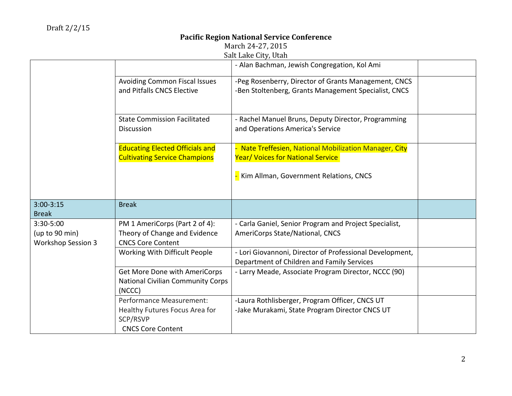March 24-27, 2015

| Salt Lake City, Utah                                     |                                                                                                    |                                                                                                              |  |
|----------------------------------------------------------|----------------------------------------------------------------------------------------------------|--------------------------------------------------------------------------------------------------------------|--|
|                                                          |                                                                                                    | - Alan Bachman, Jewish Congregation, Kol Ami                                                                 |  |
|                                                          | <b>Avoiding Common Fiscal Issues</b><br>and Pitfalls CNCS Elective                                 | -Peg Rosenberry, Director of Grants Management, CNCS<br>-Ben Stoltenberg, Grants Management Specialist, CNCS |  |
|                                                          | <b>State Commission Facilitated</b><br><b>Discussion</b>                                           | - Rachel Manuel Bruns, Deputy Director, Programming<br>and Operations America's Service                      |  |
|                                                          | <b>Educating Elected Officials and</b><br><b>Cultivating Service Champions</b>                     | Nate Treffesien, National Mobilization Manager, City<br><b>Year/ Voices for National Service</b>             |  |
|                                                          |                                                                                                    | Kim Allman, Government Relations, CNCS                                                                       |  |
| $3:00 - 3:15$<br><b>Break</b>                            | <b>Break</b>                                                                                       |                                                                                                              |  |
| 3:30-5:00<br>(up to 90 min)<br><b>Workshop Session 3</b> | PM 1 AmeriCorps (Part 2 of 4):<br>Theory of Change and Evidence<br><b>CNCS Core Content</b>        | - Carla Ganiel, Senior Program and Project Specialist,<br>AmeriCorps State/National, CNCS                    |  |
|                                                          | Working With Difficult People                                                                      | - Lori Giovannoni, Director of Professional Development,<br>Department of Children and Family Services       |  |
|                                                          | Get More Done with AmeriCorps<br><b>National Civilian Community Corps</b><br>(NCCC)                | - Larry Meade, Associate Program Director, NCCC (90)                                                         |  |
|                                                          | Performance Measurement:<br>Healthy Futures Focus Area for<br>SCP/RSVP<br><b>CNCS Core Content</b> | -Laura Rothlisberger, Program Officer, CNCS UT<br>-Jake Murakami, State Program Director CNCS UT             |  |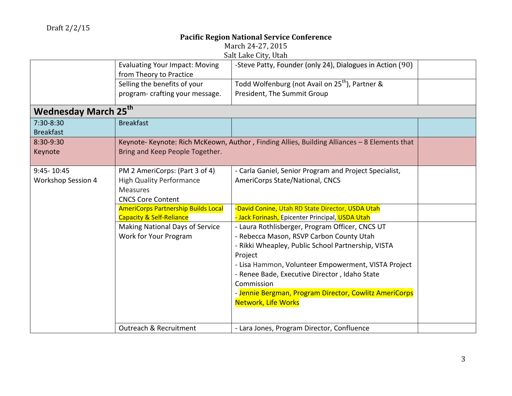| March 24-27, 2015                                              |  |
|----------------------------------------------------------------|--|
| $C_2$ <sub>1</sub> + Lake $C_1$ <sub>ty</sub> U <sub>tah</sub> |  |

|                             |                                            | Sail Lake Gily, Ulali                                                                        |  |
|-----------------------------|--------------------------------------------|----------------------------------------------------------------------------------------------|--|
|                             | <b>Evaluating Your Impact: Moving</b>      | -Steve Patty, Founder (only 24), Dialogues in Action (90)                                    |  |
|                             | from Theory to Practice                    |                                                                                              |  |
|                             | Selling the benefits of your               | Todd Wolfenburg (not Avail on 25 <sup>th</sup> ), Partner &                                  |  |
|                             | program- crafting your message.            | President, The Summit Group                                                                  |  |
| <b>Wednesday March 25th</b> |                                            |                                                                                              |  |
| $7:30-8:30$                 | <b>Breakfast</b>                           |                                                                                              |  |
| <b>Breakfast</b>            |                                            |                                                                                              |  |
| 8:30-9:30                   |                                            | Keynote- Keynote: Rich McKeown, Author, Finding Allies, Building Alliances - 8 Elements that |  |
| Keynote                     | Bring and Keep People Together.            |                                                                                              |  |
|                             |                                            |                                                                                              |  |
| 9:45-10:45                  | PM 2 AmeriCorps: (Part 3 of 4)             | - Carla Ganiel, Senior Program and Project Specialist,                                       |  |
| <b>Workshop Session 4</b>   | <b>High Quality Performance</b>            | AmeriCorps State/National, CNCS                                                              |  |
|                             | <b>Measures</b>                            |                                                                                              |  |
|                             | <b>CNCS Core Content</b>                   |                                                                                              |  |
|                             | <b>AmeriCorps Partnership Builds Local</b> | -David Conine, Utah RD State Director, USDA Utah                                             |  |
|                             | <b>Capacity &amp; Self-Reliance</b>        | - Jack Forinash, Epicenter Principal, USDA Utah                                              |  |
|                             | Making National Days of Service            | - Laura Rothlisberger, Program Officer, CNCS UT                                              |  |
|                             | Work for Your Program                      | - Rebecca Mason, RSVP Carbon County Utah                                                     |  |
|                             |                                            | - Rikki Wheapley, Public School Partnership, VISTA                                           |  |
|                             |                                            | Project                                                                                      |  |
|                             |                                            | - Lisa Hammon, Volunteer Empowerment, VISTA Project                                          |  |
|                             |                                            | - Renee Bade, Executive Director, Idaho State                                                |  |
|                             |                                            | Commission                                                                                   |  |
|                             |                                            | - Jennie Bergman, Program Director, Cowlitz AmeriCorps                                       |  |
|                             |                                            | <b>Network, Life Works</b>                                                                   |  |
|                             |                                            |                                                                                              |  |
|                             | Outreach & Recruitment                     | - Lara Jones, Program Director, Confluence                                                   |  |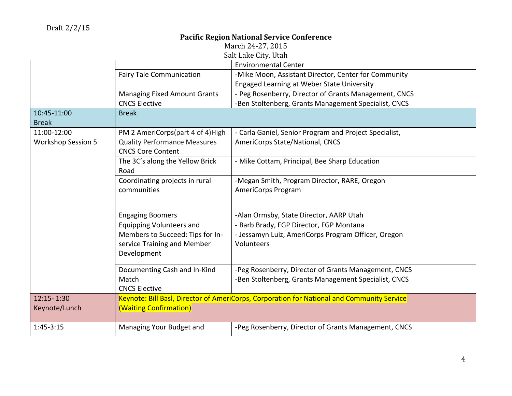March 24-27, 2015

| Salt Lake City, Utah      |                                     |                                                                                            |  |
|---------------------------|-------------------------------------|--------------------------------------------------------------------------------------------|--|
|                           |                                     | <b>Environmental Center</b>                                                                |  |
|                           | <b>Fairy Tale Communication</b>     | -Mike Moon, Assistant Director, Center for Community                                       |  |
|                           |                                     | <b>Engaged Learning at Weber State University</b>                                          |  |
|                           | <b>Managing Fixed Amount Grants</b> | - Peg Rosenberry, Director of Grants Management, CNCS                                      |  |
|                           | <b>CNCS Elective</b>                | -Ben Stoltenberg, Grants Management Specialist, CNCS                                       |  |
| 10:45-11:00               | <b>Break</b>                        |                                                                                            |  |
| <b>Break</b>              |                                     |                                                                                            |  |
| 11:00-12:00               | PM 2 AmeriCorps(part 4 of 4)High    | - Carla Ganiel, Senior Program and Project Specialist,                                     |  |
| <b>Workshop Session 5</b> | <b>Quality Performance Measures</b> | AmeriCorps State/National, CNCS                                                            |  |
|                           | <b>CNCS Core Content</b>            |                                                                                            |  |
|                           | The 3C's along the Yellow Brick     | - Mike Cottam, Principal, Bee Sharp Education                                              |  |
|                           | Road                                |                                                                                            |  |
|                           | Coordinating projects in rural      | -Megan Smith, Program Director, RARE, Oregon                                               |  |
|                           | communities                         | AmeriCorps Program                                                                         |  |
|                           |                                     |                                                                                            |  |
|                           | <b>Engaging Boomers</b>             | -Alan Ormsby, State Director, AARP Utah                                                    |  |
|                           | <b>Equipping Volunteers and</b>     | - Barb Brady, FGP Director, FGP Montana                                                    |  |
|                           | Members to Succeed: Tips for In-    | - Jessamyn Luiz, AmeriCorps Program Officer, Oregon                                        |  |
|                           | service Training and Member         | Volunteers                                                                                 |  |
|                           | Development                         |                                                                                            |  |
|                           |                                     |                                                                                            |  |
|                           | Documenting Cash and In-Kind        | -Peg Rosenberry, Director of Grants Management, CNCS                                       |  |
|                           | Match                               | -Ben Stoltenberg, Grants Management Specialist, CNCS                                       |  |
|                           | <b>CNCS Elective</b>                |                                                                                            |  |
| 12:15-1:30                |                                     | Keynote: Bill Basl, Director of AmeriCorps, Corporation for National and Community Service |  |
| Keynote/Lunch             | (Waiting Confirmation)              |                                                                                            |  |
|                           |                                     |                                                                                            |  |
| $1:45-3:15$               | Managing Your Budget and            | -Peg Rosenberry, Director of Grants Management, CNCS                                       |  |
|                           |                                     |                                                                                            |  |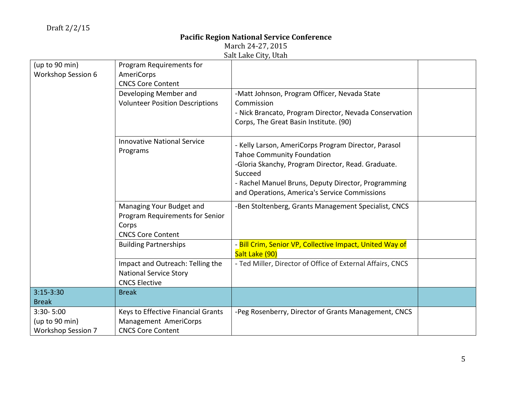|                           |                                        | $\frac{1}{2}$                                              |  |
|---------------------------|----------------------------------------|------------------------------------------------------------|--|
| (up to 90 min)            | Program Requirements for               |                                                            |  |
| <b>Workshop Session 6</b> | AmeriCorps                             |                                                            |  |
|                           | <b>CNCS Core Content</b>               |                                                            |  |
|                           | Developing Member and                  | -Matt Johnson, Program Officer, Nevada State               |  |
|                           | <b>Volunteer Position Descriptions</b> | Commission                                                 |  |
|                           |                                        | - Nick Brancato, Program Director, Nevada Conservation     |  |
|                           |                                        | Corps, The Great Basin Institute. (90)                     |  |
|                           | <b>Innovative National Service</b>     | - Kelly Larson, AmeriCorps Program Director, Parasol       |  |
|                           | Programs                               | <b>Tahoe Community Foundation</b>                          |  |
|                           |                                        | -Gloria Skanchy, Program Director, Read. Graduate.         |  |
|                           |                                        | Succeed                                                    |  |
|                           |                                        | - Rachel Manuel Bruns, Deputy Director, Programming        |  |
|                           |                                        | and Operations, America's Service Commissions              |  |
|                           | Managing Your Budget and               | -Ben Stoltenberg, Grants Management Specialist, CNCS       |  |
|                           | Program Requirements for Senior        |                                                            |  |
|                           | Corps                                  |                                                            |  |
|                           | <b>CNCS Core Content</b>               |                                                            |  |
|                           | <b>Building Partnerships</b>           | - Bill Crim, Senior VP, Collective Impact, United Way of   |  |
|                           |                                        | Salt Lake (90)                                             |  |
|                           | Impact and Outreach: Telling the       | - Ted Miller, Director of Office of External Affairs, CNCS |  |
|                           | <b>National Service Story</b>          |                                                            |  |
|                           | <b>CNCS Elective</b>                   |                                                            |  |
| $3:15-3:30$               | <b>Break</b>                           |                                                            |  |
| <b>Break</b>              |                                        |                                                            |  |
| 3:30-5:00                 | Keys to Effective Financial Grants     | -Peg Rosenberry, Director of Grants Management, CNCS       |  |
| (up to 90 min)            | Management AmeriCorps                  |                                                            |  |
| <b>Workshop Session 7</b> | <b>CNCS Core Content</b>               |                                                            |  |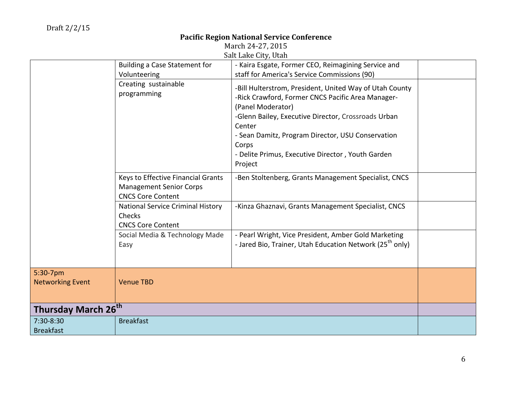|                                     |                                                                                                  | Jail Lanc Gily, Ulali                                                                                                                                                                                                                                                                                                            |  |
|-------------------------------------|--------------------------------------------------------------------------------------------------|----------------------------------------------------------------------------------------------------------------------------------------------------------------------------------------------------------------------------------------------------------------------------------------------------------------------------------|--|
|                                     | Building a Case Statement for                                                                    | - Kaira Esgate, Former CEO, Reimagining Service and                                                                                                                                                                                                                                                                              |  |
|                                     | Volunteering                                                                                     | staff for America's Service Commissions (90)                                                                                                                                                                                                                                                                                     |  |
|                                     | Creating sustainable<br>programming                                                              | -Bill Hulterstrom, President, United Way of Utah County<br>-Rick Crawford, Former CNCS Pacific Area Manager-<br>(Panel Moderator)<br>-Glenn Bailey, Executive Director, Crossroads Urban<br>Center<br>- Sean Damitz, Program Director, USU Conservation<br>Corps<br>- Delite Primus, Executive Director, Youth Garden<br>Project |  |
|                                     | Keys to Effective Financial Grants<br><b>Management Senior Corps</b><br><b>CNCS Core Content</b> | -Ben Stoltenberg, Grants Management Specialist, CNCS                                                                                                                                                                                                                                                                             |  |
|                                     | National Service Criminal History<br>Checks<br><b>CNCS Core Content</b>                          | -Kinza Ghaznavi, Grants Management Specialist, CNCS                                                                                                                                                                                                                                                                              |  |
|                                     | Social Media & Technology Made<br>Easy                                                           | - Pearl Wright, Vice President, Amber Gold Marketing<br>- Jared Bio, Trainer, Utah Education Network (25 <sup>th</sup> only)                                                                                                                                                                                                     |  |
| 5:30-7pm<br><b>Networking Event</b> | <b>Venue TBD</b>                                                                                 |                                                                                                                                                                                                                                                                                                                                  |  |
| Thursday March 26 <sup>th</sup>     |                                                                                                  |                                                                                                                                                                                                                                                                                                                                  |  |
| 7:30-8:30                           | <b>Breakfast</b>                                                                                 |                                                                                                                                                                                                                                                                                                                                  |  |
| <b>Breakfast</b>                    |                                                                                                  |                                                                                                                                                                                                                                                                                                                                  |  |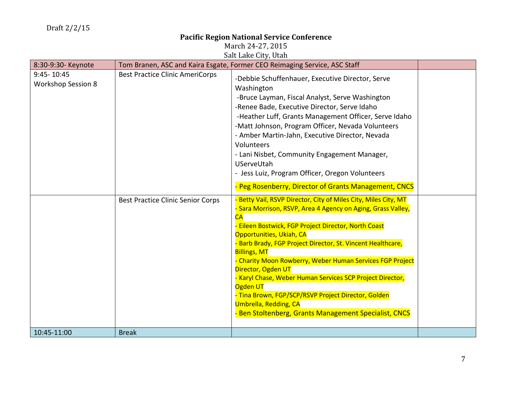March 24-27, 2015

Salt Lake City, Utah

| 8:30-9:30- Keynote                      |                                          | Tom Branen, ASC and Kaira Esgate, Former CEO Reimaging Service, ASC Staff                                                                                                                                                                                                                                                                                                                                                                                                                                                                                                                                                  |  |
|-----------------------------------------|------------------------------------------|----------------------------------------------------------------------------------------------------------------------------------------------------------------------------------------------------------------------------------------------------------------------------------------------------------------------------------------------------------------------------------------------------------------------------------------------------------------------------------------------------------------------------------------------------------------------------------------------------------------------------|--|
| 9:45-10:45<br><b>Workshop Session 8</b> | <b>Best Practice Clinic AmeriCorps</b>   | -Debbie Schuffenhauer, Executive Director, Serve<br>Washington<br>-Bruce Layman, Fiscal Analyst, Serve Washington<br>-Renee Bade, Executive Director, Serve Idaho<br>-Heather Luff, Grants Management Officer, Serve Idaho<br>-Matt Johnson, Program Officer, Nevada Volunteers<br>- Amber Martin-Jahn, Executive Director, Nevada<br>Volunteers<br>- Lani Nisbet, Community Engagement Manager,<br>UServeUtah<br>- Jess Luiz, Program Officer, Oregon Volunteers<br>- Peg Rosenberry, Director of Grants Management, CNCS                                                                                                 |  |
|                                         | <b>Best Practice Clinic Senior Corps</b> | Betty Vail, RSVP Director, City of Miles City, Miles City, MT<br>- Sara Morrison, RSVP, Area 4 Agency on Aging, Grass Valley,<br>CA<br>Eileen Bostwick, FGP Project Director, North Coast<br>Opportunities, Ukiah, CA<br><b>Barb Brady, FGP Project Director, St. Vincent Healthcare,</b><br><b>Billings, MT</b><br>- Charity Moon Rowberry, Weber Human Services FGP Project<br>Director, Ogden UT<br>- Karyl Chase, Weber Human Services SCP Project Director,<br>Ogden UT<br>- Tina Brown, FGP/SCP/RSVP Project Director, Golden<br><b>Umbrella, Redding, CA</b><br>Ben Stoltenberg, Grants Management Specialist, CNCS |  |
| 10:45-11:00                             | <b>Break</b>                             |                                                                                                                                                                                                                                                                                                                                                                                                                                                                                                                                                                                                                            |  |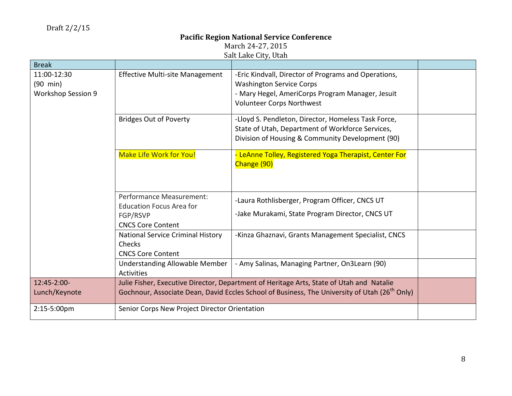|                                                                | Jan Danc Gitt, Utan                                                                                                                                                                                   |                                                                                                                                                                                 |  |  |
|----------------------------------------------------------------|-------------------------------------------------------------------------------------------------------------------------------------------------------------------------------------------------------|---------------------------------------------------------------------------------------------------------------------------------------------------------------------------------|--|--|
| <b>Break</b>                                                   |                                                                                                                                                                                                       |                                                                                                                                                                                 |  |  |
| 11:00-12:30<br>$(90 \text{ min})$<br><b>Workshop Session 9</b> | <b>Effective Multi-site Management</b>                                                                                                                                                                | -Eric Kindvall, Director of Programs and Operations,<br><b>Washington Service Corps</b><br>- Mary Hegel, AmeriCorps Program Manager, Jesuit<br><b>Volunteer Corps Northwest</b> |  |  |
|                                                                | <b>Bridges Out of Poverty</b>                                                                                                                                                                         | -Lloyd S. Pendleton, Director, Homeless Task Force,<br>State of Utah, Department of Workforce Services,<br>Division of Housing & Community Development (90)                     |  |  |
|                                                                | <b>Make Life Work for You!</b>                                                                                                                                                                        | - LeAnne Tolley, Registered Yoga Therapist, Center For<br>Change (90)                                                                                                           |  |  |
|                                                                | Performance Measurement:<br><b>Education Focus Area for</b><br>FGP/RSVP<br><b>CNCS Core Content</b>                                                                                                   | -Laura Rothlisberger, Program Officer, CNCS UT<br>-Jake Murakami, State Program Director, CNCS UT                                                                               |  |  |
|                                                                | <b>National Service Criminal History</b><br>Checks<br><b>CNCS Core Content</b>                                                                                                                        | -Kinza Ghaznavi, Grants Management Specialist, CNCS                                                                                                                             |  |  |
|                                                                | <b>Understanding Allowable Member</b><br>Activities                                                                                                                                                   | - Amy Salinas, Managing Partner, On3Learn (90)                                                                                                                                  |  |  |
| 12:45-2:00-<br>Lunch/Keynote                                   | Julie Fisher, Executive Director, Department of Heritage Arts, State of Utah and Natalie<br>Gochnour, Associate Dean, David Eccles School of Business, The University of Utah (26 <sup>th</sup> Only) |                                                                                                                                                                                 |  |  |
| 2:15-5:00pm                                                    | Senior Corps New Project Director Orientation                                                                                                                                                         |                                                                                                                                                                                 |  |  |